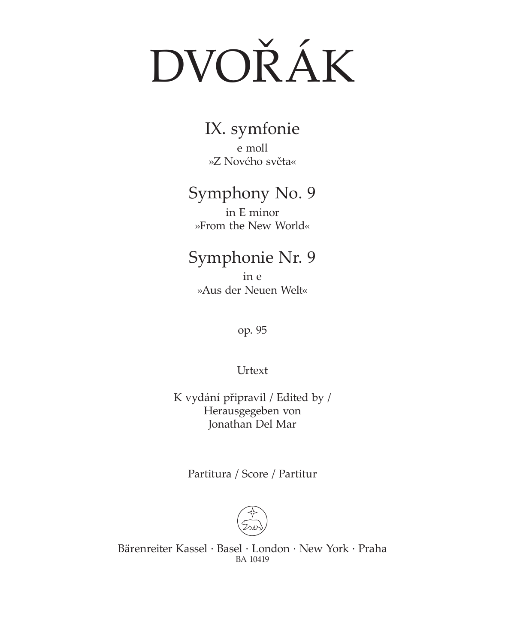# DVOŘÁK

IX. symfonie e moll »Z Nového světa«

## Symphony No. 9

in E minor »From the New World«

## Symphonie Nr. 9

in e »Aus der Neuen Welt«

op. 95

Urtext

K vydání připravil / Edited by / Herausgegeben von Jonathan Del Mar

Partitura / Score / Partitur



Bärenreiter Kassel · Basel · London · New York · Praha BA 10419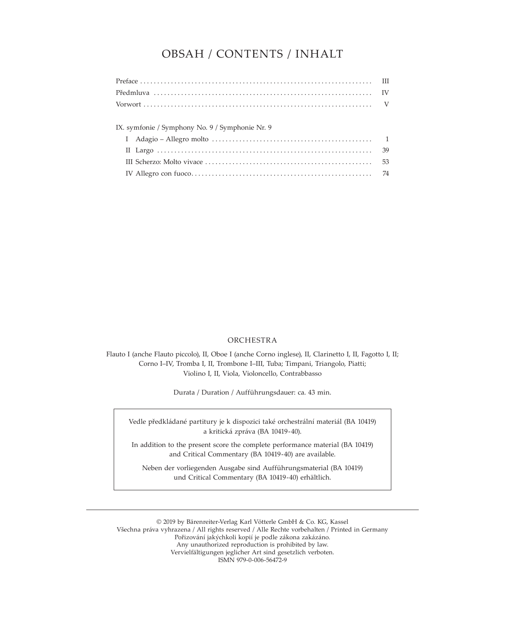### OBSAH / CONTENTS / INHALT

| IX. symfonie / Symphony No. 9 / Symphonie Nr. 9 |  |
|-------------------------------------------------|--|
|                                                 |  |
|                                                 |  |
|                                                 |  |
|                                                 |  |
|                                                 |  |

#### ORCHESTRA

Flauto I (anche Flauto piccolo), II, Oboe I (anche Corno inglese), II, Clarinetto I, II, Fagotto I, II; Corno I–IV, Tromba I, II, Trombone I–III, Tuba; Timpani, Triangolo, Piatti; Violino I, II, Viola, Violoncello, Contrabbasso

Durata / Duration / Aufführungsdauer: ca. 43 min.

Vedle předkládané partitury je k dispozici také orchestrální materiál (BA 10419) a kritická zpráva (BA 10419-40).

In addition to the present score the complete performance material (BA 10419) and Critical Commentary (BA 10419-40) are available.

Neben der vorliegenden Ausgabe sind Aufführungsmaterial (BA 10419) und Critical Commentary (BA 10419-40) erhältlich.

© 2019 by Bärenreiter-Verlag Karl Vötterle GmbH & Co. KG, Kassel Všechna práva vyhrazena / All rights reserved / Alle Rechte vorbehalten / Printed in Germany Pořizování jakýchkoli kopií je podle zákona zakázáno. Any unauthorized reproduction is prohibited by law. Vervielfältigungen jeglicher Art sind gesetzlich verboten. ISMN 979-0-006-56472-9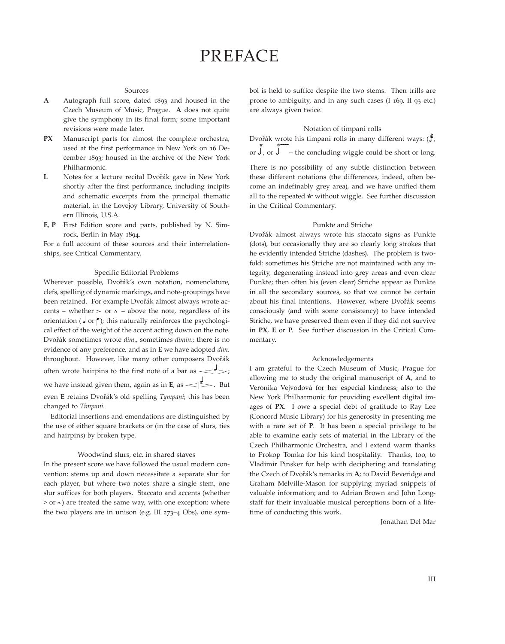#### Sources

- A Autograph full score, dated 1893 and housed in the Czech Museum of Music, Prague. **A** does not quite give the symphony in its final form; some important revisions were made later.
- **PX** Manuscript parts for almost the complete orchestra, used at the first performance in New York on 16 December 1893; housed in the archive of the New York Philharmonic.
- **L** Notes for a lecture recital Dvořák gave in New York shortly after the first performance, including incipits and schematic excerpts from the principal thematic material, in the Lovejoy Library, University of Southern Illinois, U.S.A.
- **E**, **P** First Edition score and parts, published by N. Simrock, Berlin in May 1894.

For a full account of these sources and their interrelationships, see Critical Commentary.

#### Specific Editorial Problems

Wherever possible, Dvořák's own notation, nomenclature, clefs, spelling of dynamic markings, and note-groupings have been retained. For example Dvořák almost always wrote accents – whether  $>$  or  $\land$  – above the note, regardless of its orientation ( $\Box$  or  $\uparrow$ ); this naturally reinforces the psychological effect of the weight of the accent acting down on the note. Dvořák sometimes wrote *dim.*, sometimes *dimin.*; there is no evidence of any preference, and as in **E** we have adopted *dim.* throughout. However, like many other composers Dvořák often wrote hairpins to the first note of a bar as  $\leq$ , we have instead given them, again as in  $E$ , as  $\leq \leq$ . But even **E** retains Dvořák's old spelling *Tympani*; this has been changed to *Timpani*.

Editorial insertions and emendations are distinguished by the use of either square brackets or (in the case of slurs, ties and hairpins) by broken type.

#### Woodwind slurs, etc. in shared staves

In the present score we have followed the usual modern convention: stems up and down necessitate a separate slur for each player, but where two notes share a single stem, one slur suffices for both players. Staccato and accents (whether  $>$  or  $\land$ ) are treated the same way, with one exception: where the two players are in unison (e.g. III  $273-4$  Obs), one symbol is held to suffice despite the two stems. Then trills are prone to ambiguity, and in any such cases  $(1169, 1193)$  etc.) are always given twice.

#### Notation of timpani rolls

rvotation of timpani rolls<br>Dvořák wrote his timpani rolls in many different ways: (ま, or  $\int$ , or  $\int$  – the concluding wiggle could be short or long.

There is no possibility of any subtle distinction between these different notations (the differences, indeed, often become an indefinably grey area), and we have unified them all to the repeated  $w$  without wiggle. See further discussion in the Critical Commentary.

#### Punkte and Striche

Dvořák almost always wrote his staccato signs as Punkte (dots), but occasionally they are so clearly long strokes that he evidently intended Striche (dashes). The problem is twofold: sometimes his Striche are not maintained with any integrity, degenerating instead into grey areas and even clear Punkte; then often his (even clear) Striche appear as Punkte in all the secondary sources, so that we cannot be certain about his final intentions. However, where Dvořák seems consciously (and with some consistency) to have intended Striche, we have preserved them even if they did not survive in **PX**, **E** or **P**. See further discussion in the Critical Commentary.

#### Acknowledgements

I am grateful to the Czech Museum of Music, Prague for allowing me to study the original manuscript of **A**, and to Veronika Vejvodová for her especial kindness; also to the New York Philharmonic for providing excellent digital images of **PX**. I owe a special debt of gratitude to Ray Lee (Concord Music Library) for his generosity in presenting me with a rare set of **P**. It has been a special privilege to be able to examine early sets of material in the Library of the Czech Philharmonic Orchestra, and I extend warm thanks to Prokop Tomka for his kind hospitality. Thanks, too, to Vladimír Pinsker for help with deciphering and translating the Czech of Dvořák's remarks in **A**; to David Beveridge and Graham Melville-Mason for supplying myriad snippets of valuable information; and to Adrian Brown and John Longstaff for their invaluable musical perceptions born of a lifetime of conducting this work.

Jonathan Del Mar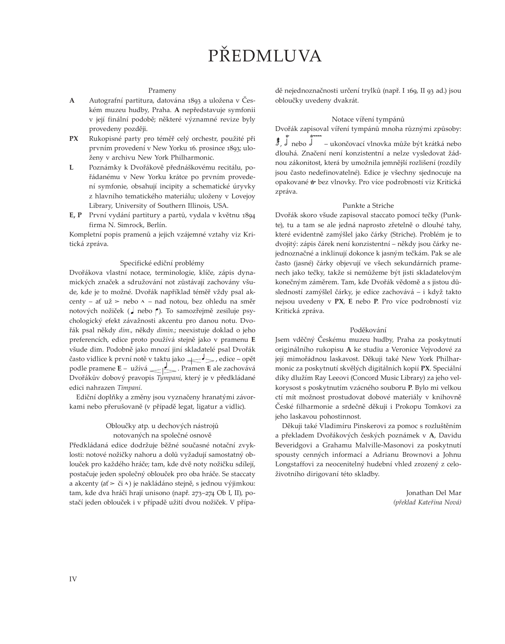## PŘEDMLUVA

#### Prameny

- **A** Autografní partitura, datována 1893 a uložena v Českém muzeu hudby, Praha. **A** nepředstavuje symfonii v její finální podobě; některé významné revize byly provedeny později.
- **PX** Rukopisné party pro téměř celý orchestr, použité při prvním provedení v New Yorku 16. prosince 1893; uloženy v archivu New York Philharmonic.
- **L** Poznámky k Dvořákově přednáškovému recitálu, pořádanému v New Yorku krátce po prvním provedení symfonie, obsahují incipity a schematické úryvky z hlavního tematického materiálu; uloženy v Lovejoy Library, University of Southern Illinois, USA.
- E, P První vydání partitury a partů, vydala v květnu 1894 firma N. Simrock, Berlín.

Kompletní popis pramenů a jejich vzájemné vztahy viz Kritická zpráva.

#### Specifické ediční problémy

Dvořákova vlastní notace, terminologie, klíče, zápis dynamických značek a sdružování not zůstávají zachovány všude, kde je to možné. Dvořák například téměř vždy psal akcenty – ať už > nebo  $\land$  – nad notou, bez ohledu na směr notových nožiček ("nebo "). To samozřejmě zesiluje psychologický efekt závažnosti akcentu pro danou notu. Dvořák psal někdy *dim.*, někdy *dimin.*; neexistuje doklad o jeho preferencích, edice proto používá stejně jako v pramenu **E** všude dim. Podobně jako mnozí jiní skladatelé psal Dvořák často vidlice k první notě v taktu jako < > < < edice – opět podle pramene **E** – užívá <u>electrice prament</u> ale zachovává Dvořákův dobový pravopis *Tympani*, který je v předkládané edici nahrazen *Timpani*.

Ediční doplňky a změny jsou vyznačeny hranatými závorkami nebo přerušovaně (v případě legat, ligatur a vidlic).

#### Obloučky atp. u dechových nástrojů notovaných na společné osnově

Předkládaná edice dodržuje běžné současné notační zvyklosti: notové nožičky nahoru a dolů vyžadují samostatný oblouček pro každého hráče; tam, kde dvě noty nožičku sdílejí, postačuje jeden společný oblouček pro oba hráče. Se staccaty a akcenty (ať  $>$  či ^) je nakládáno stejně, s jednou výjimkou: tam, kde dva hráči hrají unisono (např. 273–274 Ob I, II), postačí jeden oblouček i v případě užití dvou nožiček. V případě nejednoznačnosti určení trylků (např. I 169, II 93 ad.) jsou obloučky uvedeny dvakrát.

#### Notace víření tympánů

Dvořák zapisoval víření tympánů mnoha různými způsoby: æææ  $\overline{\mathbf{J}}$ ,  $\overline{\mathbf{J}}$  nebo  $\overline{\mathbf{J}}$  – ukončovací vlnovka může být krátká nebo dlouhá. Značení není konzistentní a nelze vysledovat žádnou zákonitost, která by umožnila jemnější rozlišení (rozdíly jsou často nedefinovatelné). Edice je všechny sjednocuje na opakované *tr* bez vlnovky. Pro více podrobností viz Kritická zpráva.

#### Punkte a Striche

Dvořák skoro všude zapisoval staccato pomocí tečky (Punkte), tu a tam se ale jedná naprosto zřetelně o dlouhé tahy, které evidentně zamýšlel jako čárky (Striche). Problém je to dvojitý: zápis čárek není konzistentní – někdy jsou čárky nejednoznačné a inklinují dokonce k jasným tečkám. Pak se ale často (jasné) čárky objevují ve všech sekundárních pramenech jako tečky, takže si nemůžeme být jisti skladatelovým konečným záměrem. Tam, kde Dvořák vědomě a s jistou důsledností zamýšlel čárky, je edice zachovává – i když takto nejsou uvedeny v **PX**, **E** nebo **P**. Pro více podrobností viz Kritická zpráva.

#### Poděkování

Jsem vděčný Českému muzeu hudby, Praha za poskytnutí originálního rukopisu **A** ke studiu a Veronice Vejvodové za její mimořádnou laskavost. Děkuji také New York Philharmonic za poskytnutí skvělých digitálních kopií **PX**. Speciální díky dlužím Ray Leeovi (Concord Music Library) za jeho velkorysost s poskytnutím vzácného souboru **P**. Bylo mi velkou ctí mít možnost prostudovat dobové materiály v knihovně České filharmonie a srdečně děkuji i Prokopu Tomkovi za jeho laskavou pohostinnost.

Děkuji také Vladimíru Pinskerovi za pomoc s rozluštěním a překladem Dvořákových českých poznámek v **A**, Davidu Beveridgovi a Grahamu Malville-Masonovi za poskytnutí spousty cenných informací a Adrianu Brownovi a Johnu Longstaffovi za neocenitelný hudební vhled zrozený z celoživotního dirigovaní této skladby.

> Jonathan Del Mar *(překlad Kateřina Nová)*